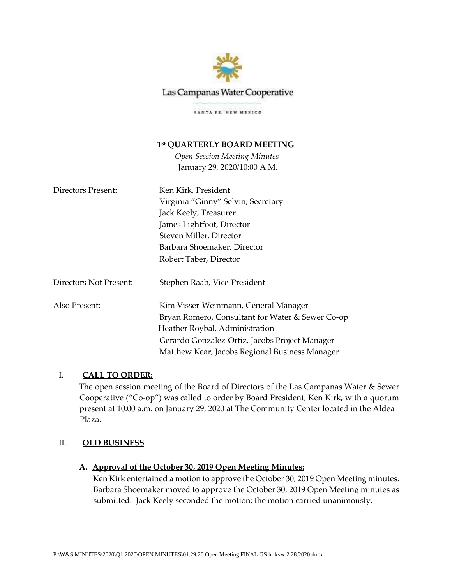

# Las Campanas Water Cooperative

SANTA PE, NEW MENICO

# **1St QUARTERLY BOARD MEETING**

*Open Session Meeting Minutes* January 29, 2020/10:00 A.M.

| Directors Present:     | Ken Kirk, President                              |
|------------------------|--------------------------------------------------|
|                        | Virginia "Ginny" Selvin, Secretary               |
|                        | Jack Keely, Treasurer                            |
|                        | James Lightfoot, Director                        |
|                        | Steven Miller, Director                          |
|                        | Barbara Shoemaker, Director                      |
|                        | Robert Taber, Director                           |
| Directors Not Present: | Stephen Raab, Vice-President                     |
| Also Present:          | Kim Visser-Weinmann, General Manager             |
|                        | Bryan Romero, Consultant for Water & Sewer Co-op |
|                        | Heather Roybal, Administration                   |
|                        | Gerardo Gonzalez-Ortiz, Jacobs Project Manager   |
|                        | Matthew Kear, Jacobs Regional Business Manager   |

# I. **CALL TO ORDER:**

The open session meeting of the Board of Directors of the Las Campanas Water & Sewer Cooperative ("Co-op") was called to order by Board President, Ken Kirk, with a quorum present at 10:00 a.m. on January 29, 2020 at The Community Center located in the Aldea Plaza.

## II. **OLD BUSINESS**

## **A. Approval of the October 30, 2019 Open Meeting Minutes:**

Ken Kirk entertained a motion to approve the October 30, 2019 Open Meeting minutes. Barbara Shoemaker moved to approve the October 30, 2019 Open Meeting minutes as submitted. Jack Keely seconded the motion; the motion carried unanimously.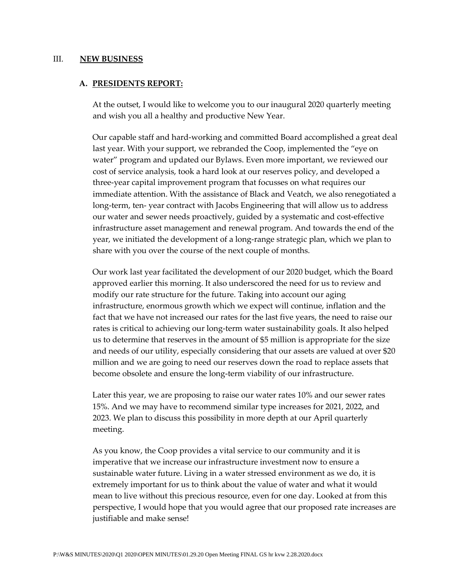#### III. **NEW BUSINESS**

#### **A. PRESIDENTS REPORT:**

At the outset, I would like to welcome you to our inaugural 2020 quarterly meeting and wish you all a healthy and productive New Year.

Our capable staff and hard-working and committed Board accomplished a great deal last year. With your support, we rebranded the Coop, implemented the "eye on water" program and updated our Bylaws. Even more important, we reviewed our cost of service analysis, took a hard look at our reserves policy, and developed a three-year capital improvement program that focusses on what requires our immediate attention. With the assistance of Black and Veatch, we also renegotiated a long-term, ten- year contract with Jacobs Engineering that will allow us to address our water and sewer needs proactively, guided by a systematic and cost-effective infrastructure asset management and renewal program. And towards the end of the year, we initiated the development of a long-range strategic plan, which we plan to share with you over the course of the next couple of months.

Our work last year facilitated the development of our 2020 budget, which the Board approved earlier this morning. It also underscored the need for us to review and modify our rate structure for the future. Taking into account our aging infrastructure, enormous growth which we expect will continue, inflation and the fact that we have not increased our rates for the last five years, the need to raise our rates is critical to achieving our long-term water sustainability goals. It also helped us to determine that reserves in the amount of \$5 million is appropriate for the size and needs of our utility, especially considering that our assets are valued at over \$20 million and we are going to need our reserves down the road to replace assets that become obsolete and ensure the long-term viability of our infrastructure.

Later this year, we are proposing to raise our water rates 10% and our sewer rates 15%. And we may have to recommend similar type increases for 2021, 2022, and 2023. We plan to discuss this possibility in more depth at our April quarterly meeting.

As you know, the Coop provides a vital service to our community and it is imperative that we increase our infrastructure investment now to ensure a sustainable water future. Living in a water stressed environment as we do, it is extremely important for us to think about the value of water and what it would mean to live without this precious resource, even for one day. Looked at from this perspective, I would hope that you would agree that our proposed rate increases are justifiable and make sense!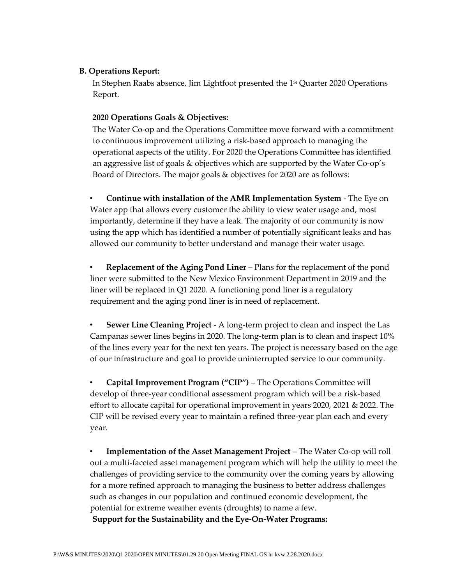# **B. Operations Report:**

In Stephen Raabs absence, Jim Lightfoot presented the 1<sup>st</sup> Quarter 2020 Operations Report.

# **2020 Operations Goals & Objectives:**

The Water Co-op and the Operations Committee move forward with a commitment to continuous improvement utilizing a risk-based approach to managing the operational aspects of the utility. For 2020 the Operations Committee has identified an aggressive list of goals & objectives which are supported by the Water Co-op's Board of Directors. The major goals & objectives for 2020 are as follows:

• **Continue with installation of the AMR Implementation System** - The Eye on Water app that allows every customer the ability to view water usage and, most importantly, determine if they have a leak. The majority of our community is now using the app which has identified a number of potentially significant leaks and has allowed our community to better understand and manage their water usage.

• **Replacement of the Aging Pond Liner** – Plans for the replacement of the pond liner were submitted to the New Mexico Environment Department in 2019 and the liner will be replaced in Q1 2020. A functioning pond liner is a regulatory requirement and the aging pond liner is in need of replacement.

• **Sewer Line Cleaning Project** - A long-term project to clean and inspect the Las Campanas sewer lines begins in 2020. The long-term plan is to clean and inspect 10% of the lines every year for the next ten years. The project is necessary based on the age of our infrastructure and goal to provide uninterrupted service to our community.

• **Capital Improvement Program ("CIP")** – The Operations Committee will develop of three-year conditional assessment program which will be a risk-based effort to allocate capital for operational improvement in years 2020, 2021 & 2022. The CIP will be revised every year to maintain a refined three-year plan each and every year.

• **Implementation of the Asset Management Project** – The Water Co-op will roll out a multi-faceted asset management program which will help the utility to meet the challenges of providing service to the community over the coming years by allowing for a more refined approach to managing the business to better address challenges such as changes in our population and continued economic development, the potential for extreme weather events (droughts) to name a few.

**Support for the Sustainability and the Eye-On-Water Programs:**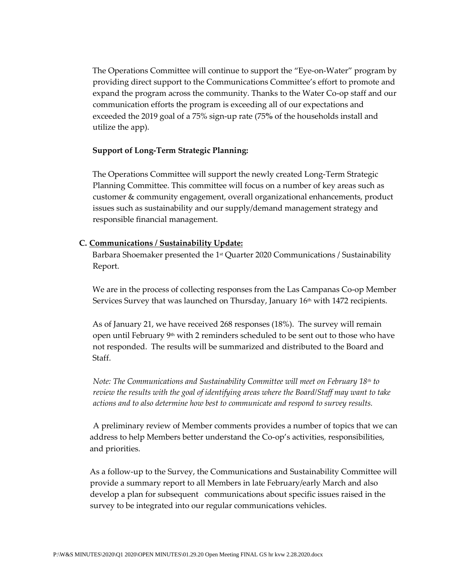The Operations Committee will continue to support the "Eye-on-Water" program by providing direct support to the Communications Committee's effort to promote and expand the program across the community. Thanks to the Water Co-op staff and our communication efforts the program is exceeding all of our expectations and exceeded the 2019 goal of a 75% sign-up rate (75**%** of the households install and utilize the app).

## **Support of Long-Term Strategic Planning:**

The Operations Committee will support the newly created Long-Term Strategic Planning Committee. This committee will focus on a number of key areas such as customer & community engagement, overall organizational enhancements, product issues such as sustainability and our supply/demand management strategy and responsible financial management.

## **C. Communications / Sustainability Update:**

Barbara Shoemaker presented the 1<sup>st</sup> Quarter 2020 Communications / Sustainability Report.

We are in the process of collecting responses from the Las Campanas Co-op Member Services Survey that was launched on Thursday, January 16<sup>th</sup> with 1472 recipients.

As of January 21, we have received 268 responses (18%). The survey will remain open until February  $9<sup>th</sup>$  with 2 reminders scheduled to be sent out to those who have not responded. The results will be summarized and distributed to the Board and Staff.

*Note: The Communications and Sustainability Committee will meet on February 18th to review the results with the goal of identifying areas where the Board/Staff may want to take actions and to also determine how best to communicate and respond to survey results.* 

A preliminary review of Member comments provides a number of topics that we can address to help Members better understand the Co-op's activities, responsibilities, and priorities.

As a follow-up to the Survey, the Communications and Sustainability Committee will provide a summary report to all Members in late February/early March and also develop a plan for subsequent communications about specific issues raised in the survey to be integrated into our regular communications vehicles.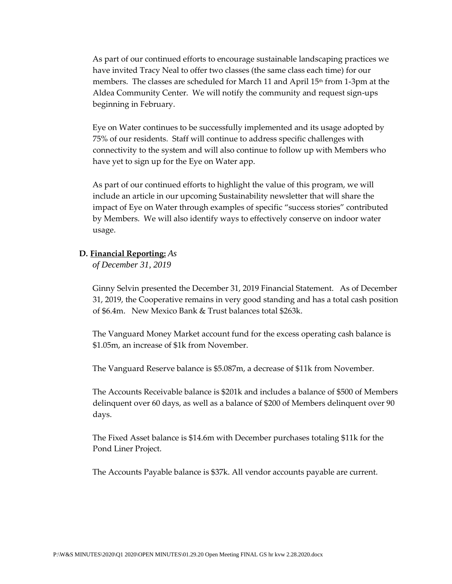As part of our continued efforts to encourage sustainable landscaping practices we have invited Tracy Neal to offer two classes (the same class each time) for our members. The classes are scheduled for March 11 and April  $15<sup>th</sup>$  from 1-3pm at the Aldea Community Center. We will notify the community and request sign-ups beginning in February.

Eye on Water continues to be successfully implemented and its usage adopted by 75% of our residents. Staff will continue to address specific challenges with connectivity to the system and will also continue to follow up with Members who have yet to sign up for the Eye on Water app.

As part of our continued efforts to highlight the value of this program, we will include an article in our upcoming Sustainability newsletter that will share the impact of Eye on Water through examples of specific "success stories" contributed by Members. We will also identify ways to effectively conserve on indoor water usage.

## **D. Financial Reporting:** *As*

*of December 31, 2019* 

Ginny Selvin presented the December 31, 2019 Financial Statement. As of December 31, 2019, the Cooperative remains in very good standing and has a total cash position of \$6.4m. New Mexico Bank & Trust balances total \$263k.

The Vanguard Money Market account fund for the excess operating cash balance is \$1.05m, an increase of \$1k from November.

The Vanguard Reserve balance is \$5.087m, a decrease of \$11k from November.

The Accounts Receivable balance is \$201k and includes a balance of \$500 of Members delinquent over 60 days, as well as a balance of \$200 of Members delinquent over 90 days.

The Fixed Asset balance is \$14.6m with December purchases totaling \$11k for the Pond Liner Project.

The Accounts Payable balance is \$37k. All vendor accounts payable are current.